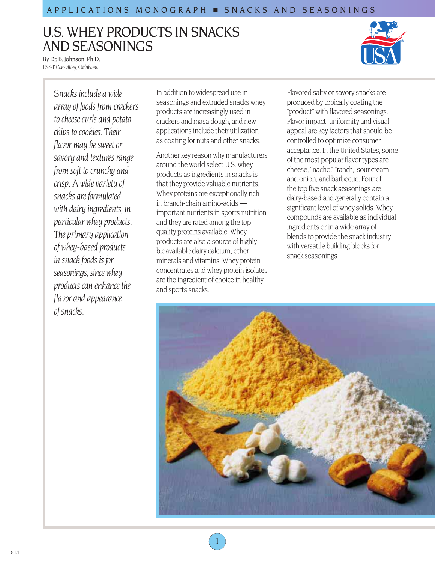# U.S. WHEY PRODUCTS IN SNACKS AND SEASONINGS



By Dr. B. Johnson, Ph.D. *FS&T Consulting, Oklahoma*

> *Snacks include a wide array of foods from crackers to cheese curls and potato chips to cookies. Their flavor may be sweet or savory and textures range from soft to crunchy and crisp. A wide variety of snacks are formulated with dairy ingredients, in particular whey products. The primary application of whey-based products in snack foods is for seasonings, since whey products can enhance the flavor and appearance of snacks.*

In addition to widespread use in seasonings and extruded snacks whey products are increasingly used in crackers and masa dough, and new applications include their utilization as coating for nuts and other snacks.

Another key reason why manufacturers around the world select U.S. whey products as ingredients in snacks is that they provide valuable nutrients. Whey proteins are exceptionally rich in branch-chain amino-acids important nutrients in sports nutrition and they are rated among the top quality proteins available. Whey products are also a source of highly bioavailable dairy calcium, other minerals and vitamins. Whey protein concentrates and whey protein isolates are the ingredient of choice in healthy and sports snacks.

1

Flavored salty or savory snacks are produced by topically coating the "product" with flavored seasonings. Flavor impact, uniformity and visual appeal are key factors that should be controlled to optimize consumer acceptance. In the United States, some of the most popular flavor types are cheese, "nacho," "ranch," sour cream and onion, and barbecue. Four of the top five snack seasonings are dairy-based and generally contain a significant level of whey solids. Whey compounds are available as individual ingredients or in a wide array of blends to provide the snack industry with versatile building blocks for snack seasonings.

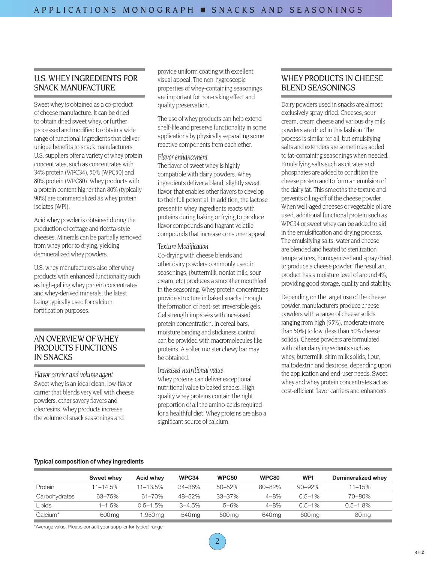# U.S. WHEY INGREDIENTS FOR SNACK MANUFACTURE

Sweet whey is obtained as a co-product of cheese manufacture. It can be dried to obtain dried sweet whey, or further processed and modified to obtain a wide range of functional ingredients that deliver unique benefits to snack manufacturers. U.S. suppliers offer a variety of whey protein concentrates, such as concentrates with 34% protein (WPC34), 50% (WPC50) and 80% protein (WPC80). Whey products with a protein content higher than 80% (typically 90%) are commercialized as whey protein isolates (WPI).

Acid whey powder is obtained during the production of cottage and ricotta-style cheeses. Minerals can be partially removed from whey prior to drying, yielding demineralized whey powders.

U.S. whey manufacturers also offer whey products with enhanced functionality such as high-gelling whey protein concentrates and whey-derived minerals, the latest being typically used for calcium fortification purposes.

# AN OVERVIEW OF WHEY PRODUCTS FUNCTIONS IN SNACKS

*Flavor carrier and volume agent* Sweet whey is an ideal clean, low-flavor carrier that blends very well with cheese powders, other savory flavors and oleoresins. Whey products increase the volume of snack seasonings and

provide uniform coating with excellent visual appeal. The non-hygroscopic properties of whey-containing seasonings are important for non-caking effect and quality preservation.

The use of whey products can help extend shelf-life and preserve functionality in some applications by physically separating some reactive components from each other.

# *Flavor enhancement*

The flavor of sweet whey is highly compatible with dairy powders. Whey ingredients deliver a bland, slightly sweet flavor, that enables other flavors to develop to their full potential. In addition, the lactose present in whey ingredients reacts with proteins during baking or frying to produce flavor compounds and fragrant volatile compounds that increase consumer appeal.

## *Texture Modification*

Co-drying with cheese blends and other dairy powders commonly used in seasonings, (buttermilk, nonfat milk, sour cream, etc) produces a smoother mouthfeel in the seasoning. Whey protein concentrates provide structure in baked snacks through the formation of heat-set irreversible gels. Gel strength improves with increased protein concentration. In cereal bars, moisture binding and stickiness control can be provided with macromolecules like proteins. A softer, moister chewy bar may be obtained.

#### *Increased nutritional value*

Whey proteins can deliver exceptional nutritional value to baked snacks. High quality whey proteins contain the right proportion of all the amino-acids required for a healthful diet. Whey proteins are also a significant source of calcium.

# WHEY PRODUCTS IN CHEESE BLEND SEASONINGS

Dairy powders used in snacks are almost exclusively spray-dried. Cheeses, sour cream, cream cheese and various dry milk powders are dried in this fashion. The process is similar for all, but emulsifying salts and extenders are sometimes added to fat-containing seasonings when needed. Emulsifying salts such as citrates and phosphates are added to condition the cheese protein and to form an emulsion of the dairy fat. This smooths the texture and prevents oiling-off of the cheese powder. When well-aged cheeses or vegetable oil are used, additional functional protein such as WPC34 or sweet whey can be added to aid in the emulsification and drying process. The emulsifying salts, water and cheese are blended and heated to sterilization temperatures, homogenized and spray dried to produce a cheese powder. The resultant product has a moisture level of around 4%, providing good storage, quality and stability.

Depending on the target use of the cheese powder, manufacturers produce cheese powders with a range of cheese solids ranging from high (95%), moderate (more than 50%) to low, (less than 50% cheese solids). Cheese powders are formulated with other dairy ingredients such as whey, buttermilk, skim milk solids, flour, maltodextrin and dextrose, depending upon the application and end-user needs. Sweet whey and whey protein concentrates act as cost-efficient flavor carriers and enhancers.

#### **Typical composition of whey ingredients**

|                      | Sweet whey    | <b>Acid whev</b> | WPC34      | <b>WPC50</b> | WPC80       | <b>WPI</b>  | Demineralized whey |
|----------------------|---------------|------------------|------------|--------------|-------------|-------------|--------------------|
| Protein              | $11 - 14.5\%$ | $11 - 13.5\%$    | 34-36%     | 50-52%       | $80 - 82\%$ | $90 - 92\%$ | $11 - 15%$         |
| Carbohydrates        | 63–75%        | 61-70%           | 48-52%     | 33-37%       | $4 - 8%$    | $0.5 - 1\%$ | 70-80%             |
| Lipids               | 1–1.5%        | $0.5 - 1.5\%$    | $3 - 4.5%$ | $5 - 6%$     | $4 - 8%$    | $0.5 - 1\%$ | $0.5 - 1.8\%$      |
| Calcium <sup>*</sup> | 600 mg        | 1,950 ma         | 540 mg     | 500 mg       | 640 mg      | 600 mg      | 80 <sub>mg</sub>   |

\*Average value. Please consult your supplier for typical range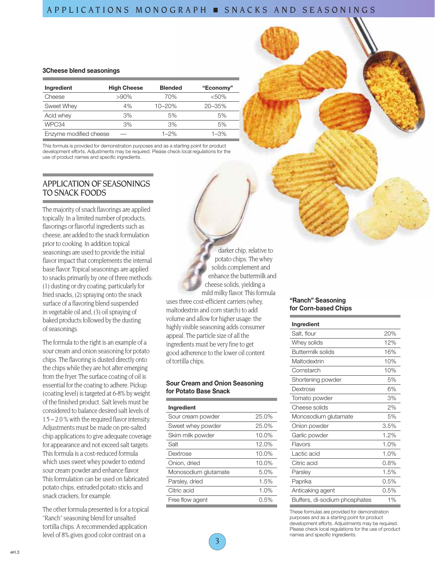# APPLICATIONS MONOGRAPH ■ SNACKS AND SEASONINGS

#### **3Cheese blend seasonings**

| Ingredient             | <b>High Cheese</b> | <b>Blended</b> | "Economy"  |
|------------------------|--------------------|----------------|------------|
| Cheese                 | $>90\%$            | 70%            | < 50%      |
| Sweet Whey             | 4%                 | $10 - 20%$     | $20 - 35%$ |
| Acid whey              | 3%                 | 5%             | 5%         |
| WPC34                  | 3%                 | 3%             | 5%         |
| Enzyme modified cheese |                    | $1 - 2%$       | $1 - 3%$   |

This formula is provided for demonstration purposes and as a starting point for product development efforts. Adjustments may be required. Please check local regulations for the use of product names and specific ingredients.

# APPLICATION OF SEASONINGS TO SNACK FOODS

The majority of snack flavorings are applied topically. In a limited number of products, flavorings or flavorful ingredients such as cheese, are added to the snack formulation prior to cooking. In addition topical seasonings are used to provide the initial flavor impact that complements the internal base flavor. Topical seasonings are applied to snacks primarily by one of three methods: (1) dusting or dry coating, particularly for fried snacks, (2) spraying onto the snack surface of a flavoring blend suspended in vegetable oil and, (3) oil spraying of baked products followed by the dusting of seasonings.

The formula to the right is an example of a sour cream and onion seasoning for potato chips. The flavoring is dusted directly onto the chips while they are hot after emerging from the fryer. The surface coating of oil is essential for the coating to adhere. Pickup (coating level) is targeted at 6-8% by weight of the finished product. Salt levels must be considered to balance desired salt levels of 1.5 – 2.0 % with the required flavor intensity. Adjustments must be made on pre-salted chip applications to give adequate coverage for appearance and not exceed salt targets. This formula is a cost-reduced formula which uses sweet whey powder to extend sour cream powder and enhance flavor. This formulation can be used on fabricated potato chips, extruded potato sticks and snack crackers, for example.

The other formula presented is for a topical "Ranch" seasoning blend for unsalted tortilla chips. A recommended application level of 8% gives good color contrast on a

darker chip, relative to potato chips. The whey solids complement and enhance the buttermilk and cheese solids, yielding a mild milky flavor. This formula uses three cost-efficient carriers (whey, maltodextrin and corn starch) to add volume and allow for higher usage: the highly visible seasoning adds consumer appeal. The particle size of all the ingredients must be very fine to get good adherence to the lower oil content of tortilla chips.

#### **Sour Cream and Onion Seasoning for Potato Base Snack**

| Ingredient           |         |
|----------------------|---------|
| Sour cream powder    | 25.0%   |
| Sweet whey powder    | 25.0%   |
| Skim milk powder     | 10.0%   |
| Salt                 | 12.0%   |
| Dextrose             | 10.0%   |
| Onion, dried         | 10.0%   |
| Monosodium glutamate | 5.0%    |
| Parsley, dried       | 1.5%    |
| Citric acid          | 1.0%    |
| Free flow agent      | $0.5\%$ |

#### **"Ranch" Seasoning for Corn-based Chips**

## **Ingredient**

| Salt, flour                   | 20%  |
|-------------------------------|------|
| Whey solids                   | 12%  |
| Buttermilk solids             | 16%  |
| Maltodextrin                  | 10%  |
| Cornstarch                    | 10%  |
| Shortening powder             | 5%   |
| Dextrose                      | 6%   |
| Tomato powder                 | 3%   |
| Cheese solids                 | 2%   |
| Monosodium glutamate          | 5%   |
| Onion powder                  | 3.5% |
| Garlic powder                 | 1.2% |
| Flavors                       | 1.0% |
| Lactic acid                   | 1.0% |
| Citric acid                   | 0.8% |
| Parsley                       | 1.5% |
| Paprika                       | 0.5% |
| Anticaking agent              | 0.5% |
| Buffers, di-sodium phosphates | 1%   |

These formulas are provided for demonstration purposes and as a starting point for product development efforts. Adjustments may be required. Please check local regulations for the use of product names and specific ingredients.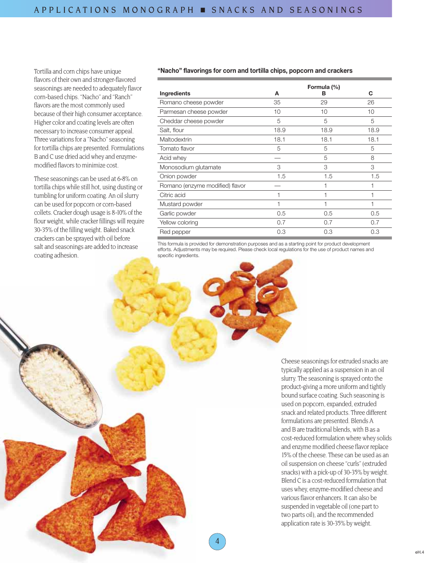Tortilla and corn chips have unique flavors of their own and stronger-flavored seasonings are needed to adequately flavor corn-based chips. "Nacho" and "Ranch" flavors are the most commonly used because of their high consumer acceptance. Higher color and coating levels are often necessary to increase consumer appeal. Three variations for a "Nacho" seasoning for tortilla chips are presented. Formulations B and C use dried acid whey and enzymemodified flavors to minimize cost.

These seasonings can be used at 6-8% on tortilla chips while still hot, using dusting or tumbling for uniform coating. An oil slurry can be used for popcorn or corn-based collets. Cracker dough usage is 8-10% of the flour weight, while cracker fillings will require 30-35% of the filling weight. Baked snack crackers can be sprayed with oil before salt and seasonings are added to increase coating adhesion.

## **"Nacho" flavorings for corn and tortilla chips, popcorn and crackers**

|                                 |      | Formula (%) |      |
|---------------------------------|------|-------------|------|
| Ingredients                     | A    | в           | C    |
| Romano cheese powder            | 35   | 29          | 26   |
| Parmesan cheese powder          | 10   | 10          | 10   |
| Cheddar cheese powder           | 5    | 5           | 5    |
| Salt, flour                     | 18.9 | 18.9        | 18.9 |
| Maltodextrin                    | 18.1 | 18.1        | 18.1 |
| Tomato flavor                   | 5    | 5           | 5    |
| Acid whey                       |      | 5           | 8    |
| Monosodium glutamate            | 3    | 3           | 3    |
| Onion powder                    | 1.5  | 1.5         | 1.5  |
| Romano (enzyme modified) flavor |      |             |      |
| Citric acid                     | 1    | 1           |      |
| Mustard powder                  | 1    | 1           | 1    |
| Garlic powder                   | 0.5  | 0.5         | 0.5  |
| Yellow coloring                 | 0.7  | 0.7         | 0.7  |
| Red pepper                      | 0.3  | 0.3         | 0.3  |

This formula is provided for demonstration purposes and as a starting point for product development efforts. Adjustments may be required. Please check local regulations for the use of product names and specific ingredients.

> Cheese seasonings for extruded snacks are typically applied as a suspension in an oil slurry. The seasoning is sprayed onto the product-giving a more uniform and tightly bound surface coating. Such seasoning is used on popcorn, expanded, extruded snack and related products. Three different formulations are presented. Blends A and B are traditional blends, with B as a cost-reduced formulation where whey solids and enzyme modified cheese flavor replace 15% of the cheese. These can be used as an oil suspension on cheese "curls" (extruded snacks) with a pick-up of 30-35% by weight. Blend C is a cost-reduced formulation that uses whey, enzyme-modified cheese and various flavor enhancers. It can also be suspended in vegetable oil (one part to two parts oil), and the recommended application rate is 30-35% by weight.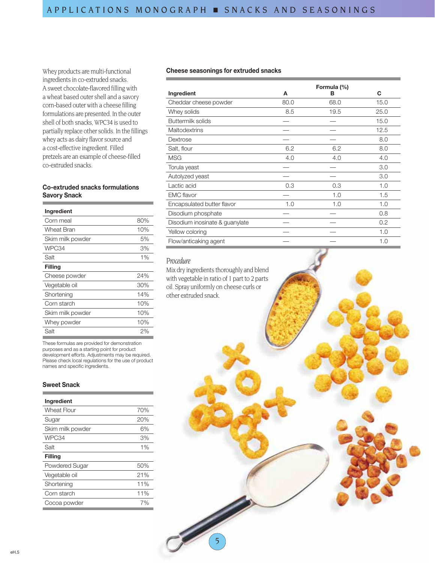Whey products are multi-functional ingredients in co-extruded snacks. A sweet chocolate-flavored filling with a wheat based outer shell and a savory corn-based outer with a cheese filling formulations are presented. In the outer shell of both snacks, WPC34 is used to partially replace other solids. In the fillings whey acts as dairy flavor source and a cost-effective ingredient. Filled pretzels are an example of cheese-filled co-extruded snacks.

# **Co-extruded snacks formulations Savory Snack**

| Ingredient       |     |
|------------------|-----|
| Corn meal        | 80% |
| Wheat Bran       | 10% |
| Skim milk powder | 5%  |
| WPC34            | 3%  |
| Salt             | 1%  |
| Filling          |     |
| Cheese powder    | 24% |
| Vegetable oil    | 30% |
| Shortening       | 14% |
| Corn starch      | 10% |
| Skim milk powder | 10% |
| Whey powder      | 10% |
| Salt             | 2%  |

These formulas are provided for demonstration purposes and as a starting point for product development efforts. Adjustments may be required. Please check local regulations for the use of product names and specific ingredients.

#### **Sweet Snack**

| Ingredient         |     |
|--------------------|-----|
| <b>Wheat Flour</b> | 70% |
| Sugar              | 20% |
| Skim milk powder   | 6%  |
| WPC34              | 3%  |
| Salt               | 1%  |
| Filling            |     |
| Powdered Sugar     | 50% |
| Vegetable oil      | 21% |
| Shortening         | 11% |
| Corn starch        | 11% |
| Cocoa powder       | 7%  |
|                    |     |

#### **Cheese seasonings for extruded snacks**

|                                |      | Formula (%) |      |
|--------------------------------|------|-------------|------|
| Ingredient                     | A    | в           | C    |
| Cheddar cheese powder          | 80.0 | 68.0        | 15.0 |
| Whey solids                    | 8.5  | 19.5        | 25.0 |
| Buttermilk solids              |      |             | 15.0 |
| <b>Maltodextrins</b>           |      |             | 12.5 |
| Dextrose                       |      |             | 8.0  |
| Salt, flour                    | 6.2  | 6.2         | 8.0  |
| <b>MSG</b>                     | 4.0  | 4.0         | 4.0  |
| Torula yeast                   |      |             | 3.0  |
| Autolyzed yeast                |      |             | 3.0  |
| Lactic acid                    | 0.3  | 0.3         | 1.0  |
| <b>EMC</b> flavor              |      | 1.0         | 1.5  |
| Encapsulated butter flavor     | 1.0  | 1.0         | 1.0  |
| Disodium phosphate             |      |             | 0.8  |
| Disodium inosinate & guanylate |      |             | 0.2  |
| Yellow coloring                |      |             | 1.0  |
| Flow/anticaking agent          |      |             | 1.0  |

## *Procedure*

Mix dry ingredients thoroughly and blend with vegetable in ratio of 1 part to 2 parts oil. Spray uniformly on cheese curls or other extruded snack.

5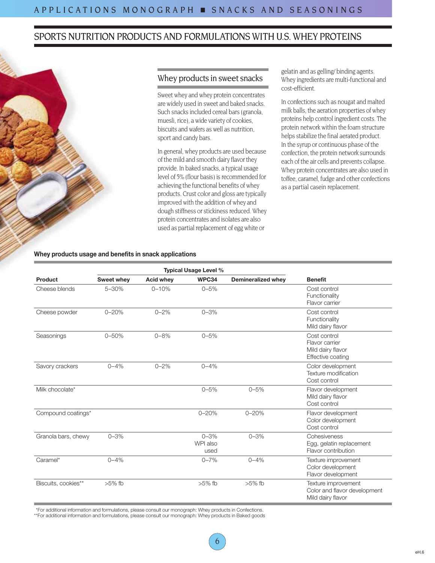# SPORTS NUTRITION PRODUCTS AND FORMULATIONS WITH U.S. WHEY PROTEINS



# Whey products in sweet snacks

Sweet whey and whey protein concentrates are widely used in sweet and baked snacks. Such snacks included cereal bars (granola, muesli, rice), a wide variety of cookies, biscuits and wafers as well as nutrition, sport and candy bars.

In general, whey products are used because of the mild and smooth dairy flavor they provide. In baked snacks, a typical usage level of 5% (flour basis) is recommended for achieving the functional benefits of whey products. Crust color and gloss are typically improved with the addition of whey and dough stiffness or stickiness reduced. Whey protein concentrates and isolates are also used as partial replacement of egg white or

gelatin and as gelling/ binding agents. Whey ingredients are multi-functional and cost-efficient.

In confections such as nougat and malted milk balls, the aeration properties of whey proteins help control ingredient costs. The protein network within the foam structure helps stabilize the final aerated product. In the syrup or continuous phase of the confection, the protein network surrounds each of the air cells and prevents collapse. Whey protein concentrates are also used in toffee, caramel, fudge and other confections as a partial casein replacement.

## **Whey products usage and benefits in snack applications**

|                     | <b>Typical Usage Level %</b> |                  |                              |                    |                                                                          |
|---------------------|------------------------------|------------------|------------------------------|--------------------|--------------------------------------------------------------------------|
| Product             | Sweet whey                   | <b>Acid whey</b> | WPC34                        | Demineralized whey | <b>Benefit</b>                                                           |
| Cheese blends       | $5 - 30%$                    | $0 - 10%$        | $0 - 5%$                     |                    | Cost control<br>Functionality<br>Flavor carrier                          |
| Cheese powder       | $0 - 20%$                    | $0 - 2%$         | $0 - 3%$                     |                    | Cost control<br>Functionality<br>Mild dairy flavor                       |
| Seasonings          | $0 - 50%$                    | $0 - 8%$         | $0 - 5%$                     |                    | Cost control<br>Flavor carrier<br>Mild dairy flavor<br>Effective coating |
| Savory crackers     | $0 - 4%$                     | $0 - 2%$         | $0 - 4%$                     |                    | Color development<br>Texture modification<br>Cost control                |
| Milk chocolate*     |                              |                  | $0 - 5%$                     | $0 - 5%$           | Flavor development<br>Mild dairy flavor<br>Cost control                  |
| Compound coatings*  |                              |                  | $0 - 20%$                    | $0 - 20%$          | Flavor development<br>Color development<br>Cost control                  |
| Granola bars, chewy | $0 - 3%$                     |                  | $0 - 3%$<br>WPI also<br>used | $0 - 3%$           | Cohesiveness<br>Egg, gelatin replacement<br>Flavor contribution          |
| Caramel*            | $0 - 4%$                     |                  | $0 - 7%$                     | $0 - 4\%$          | Texture improvement<br>Color development<br>Flavor development           |
| Biscuits, cookies** | $>5\%$ fb                    |                  | $>5\%$ fb                    | $>5\%$ fb          | Texture improvement<br>Color and flavor development<br>Mild dairy flavor |

\*For additional information and formulations, please consult our monograph: Whey products in Confections.

\*\*For additional information and formulations, please consult our monograph: Whey products in Baked goods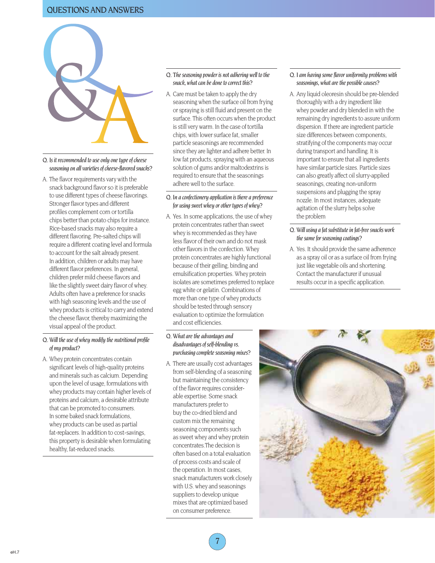# QUESTIONS AND ANSWERS



- *Q. Is it recommended to use only one type of cheese seasoning on all varieties of cheese-flavored snacks?*
- A. The flavor requirements vary with the snack background flavor so it is preferable to use different types of cheese flavorings. Stronger flavor types and different profiles complement corn or tortilla chips better than potato chips for instance. Rice-based snacks may also require a different flavoring. Pre-salted chips will require a different coating level and formula to account for the salt already present. In addition, children or adults may have different flavor preferences. In general, children prefer mild cheese flavors and like the slightly sweet dairy flavor of whey. Adults often have a preference for snacks with high seasoning levels and the use of whey products is critical to carry and extend the cheese flavor, thereby maximizing the visual appeal of the product.

## *Q. Will the use of whey modify the nutritional profile of my product?*

A. Whey protein concentrates contain significant levels of high-quality proteins and minerals such as calcium. Depending upon the level of usage, formulations with whey products may contain higher levels of proteins and calcium, a desirable attribute that can be promoted to consumers. In some baked snack formulations, whey products can be used as partial fat-replacers. In addition to cost-savings, this property is desirable when formulating healthy, fat-reduced snacks.

#### *Q. The seasoning powder is not adhering well to the snack, what can be done to correct this?*

A. Care must be taken to apply the dry seasoning when the surface oil from frying or spraying is still fluid and present on the surface. This often occurs when the product is still very warm. In the case of tortilla chips, with lower surface fat, smaller particle seasonings are recommended since they are lighter and adhere better. In low fat products, spraying with an aqueous solution of gums and/or maltodextrins is required to ensure that the seasonings adhere well to the surface.

#### *Q. In a confectionery application is there a preference for using sweet whey or other types of whey?*

A. Yes. In some applications, the use of whey protein concentrates rather than sweet whey is recommended as they have less flavor of their own and do not mask other flavors in the confection. Whey protein concentrates are highly functional because of their gelling, binding and emulsification properties. Whey protein isolates are sometimes preferred to replace egg white or gelatin. Combinations of more than one type of whey products should be tested through sensory evaluation to optimize the formulation and cost efficiencies.

## *Q. What are the advantages and disadvantages of self-blending vs. purchasing complete seasoning mixes?*

A. There are usually cost advantages from self-blending of a seasoning but maintaining the consistency of the flavor requires considerable expertise. Some snack manufacturers prefer to buy the co-dried blend and custom mix the remaining seasoning components such as sweet whey and whey protein concentrates.The decision is often based on a total evaluation of process costs and scale of the operation. In most cases, snack manufacturers work closely with U.S. whey and seasonings suppliers to develop unique mixes that are optimized based on consumer preference.

7

## *Q. I am having some flavor uniformity problems with seasonings, what are the possible causes?*

A. Any liquid oleoresin should be pre-blended thoroughly with a dry ingredient like whey powder and dry blended in with the remaining dry ingredients to assure uniform dispersion. If there are ingredient particle size differences between components, stratifying of the components may occur during transport and handling. It is important to ensure that all ingredients have similar particle sizes. Particle sizes can also greatly affect oil slurry-applied seasonings, creating non-uniform suspensions and plugging the spray nozzle. In most instances, adequate agitation of the slurry helps solve the problem

#### *Q. Will using a fat substitute in fat-free snacks work the same for seasoning coatings?*

A. Yes. It should provide the same adherence as a spray oil or as a surface oil from frying just like vegetable oils and shortening. Contact the manufacturer if unusual results occur in a specific application.